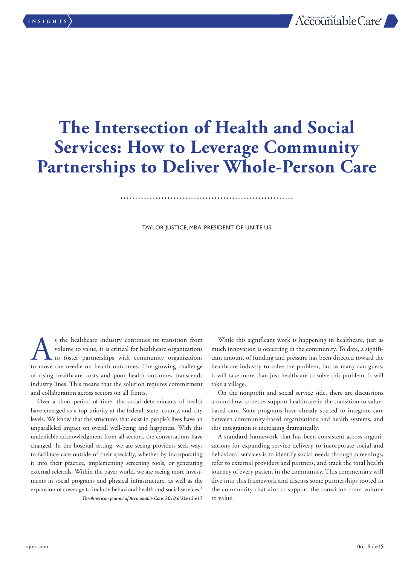# **The Intersection of Health and Social Services: How to Leverage Community Partnerships to Deliver Whole-Person Care**

#### TAYLOR JUSTICE, MBA, PRESIDENT OF UNITE US

s the healthcare industry continues its transition from volume to value, it is critical for healthcare organizations to foster partnerships with community organizations of move the needle on health outcomes. The growing ch volume to value, it is critical for healthcare organizations to foster partnerships with community organizations to move the needle on health outcomes. The growing challenge of rising healthcare costs and poor health outcomes transcends industry lines. This means that the solution requires commitment and collaboration across sectors on all fronts.

Over a short period of time, the social determinants of health have emerged as a top priority at the federal, state, county, and city levels. We know that the structures that exist in people's lives have an unparalleled impact on overall well-being and happiness. With this undeniable acknowledgment from all sectors, the conversations have changed. In the hospital setting, we are seeing providers seek ways to facilitate care outside of their specialty, whether by incorporating it into their practice, implementing screening tools, or generating external referrals. Within the payer world, we are seeing more investments in social programs and physical infrastructure, as well as the expansion of coverage to include behavioral health and social services.<sup>1</sup> *The American Journal of Accountable Care. 2018;6(2):e15-e17*

While this significant work is happening in healthcare, just as much innovation is occurring in the community. To date, a significant amount of funding and pressure has been directed toward the healthcare industry to solve the problem, but as many can guess, it will take more than just healthcare to solve this problem. It will take a village.

On the nonprofit and social service side, there are discussions around how to better support healthcare in the transition to valuebased care. State programs have already started to integrate care between community-based organizations and health systems, and this integration is increasing dramatically.

A standard framework that has been consistent across organizations for expanding service delivery to incorporate social and behavioral services is to identify social needs through screenings, refer to external providers and partners, and track the total health journey of every patient in the community. This commentary will dive into this framework and discuss some partnerships rooted in the community that aim to support the transition from volume to value.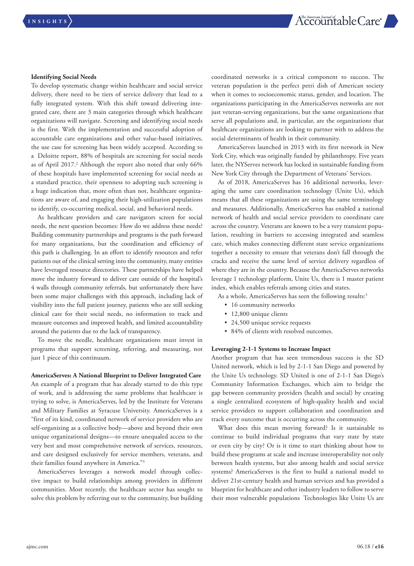#### **Identifying Social Needs**

To develop systematic change within healthcare and social service delivery, there need to be tiers of service delivery that lead to a fully integrated system. With this shift toward delivering integrated care, there are 3 main categories through which healthcare organizations will navigate. Screening and identifying social needs is the first. With the implementation and successful adoption of accountable care organizations and other value-based initiatives, the use case for screening has been widely accepted. According to a Deloitte report, 88% of hospitals are screening for social needs as of April 2017.<sup>2</sup> Although the report also noted that only 66% of these hospitals have implemented screening for social needs as a standard practice, their openness to adopting such screening is a huge indication that, more often than not, healthcare organizations are aware of, and engaging their high-utilization populations to identify, co-occurring medical, social, and behavioral needs.

As healthcare providers and care navigators screen for social needs, the next question becomes: How do we address these needs? Building community partnerships and programs is the path forward for many organizations, but the coordination and efficiency of this path is challenging. In an effort to identify resources and refer patients out of the clinical setting into the community, many entities have leveraged resource directories. These partnerships have helped move the industry forward to deliver care outside of the hospital's 4 walls through community referrals, but unfortunately there have been some major challenges with this approach, including lack of visibility into the full patient journey, patients who are still seeking clinical care for their social needs, no information to track and measure outcomes and improved health, and limited accountability around the patients due to the lack of transparency.

To move the needle, healthcare organizations must invest in programs that support screening, referring, and measuring, not just 1 piece of this continuum.

#### **AmericaServes: A National Blueprint to Deliver Integrated Care**

An example of a program that has already started to do this type of work, and is addressing the same problems that healthcare is trying to solve, is AmericaServes, led by the Institute for Veterans and Military Families at Syracuse University. AmericaServes is a "first of its kind, coordinated network of service providers who are self-organizing as a collective body—above and beyond their own unique organizational designs—to ensure unequaled access to the very best and most comprehensive network of services, resources, and care designed exclusively for service members, veterans, and their families found anywhere in America."3

AmericaServes leverages a network model through collective impact to build relationships among providers in different communities. Most recently, the healthcare sector has sought to solve this problem by referring out to the community, but building

coordinated networks is a critical component to success. The veteran population is the perfect petri dish of American society when it comes to socioeconomic status, gender, and location. The organizations participating in the AmericaServes networks are not just veteran-serving organizations, but the same organizations that serve all populations and, in particular, are the organizations that healthcare organizations are looking to partner with to address the social determinants of health in their community.

AmericaServes launched in 2013 with its first network in New York City, which was originally funded by philanthropy. Five years later, the NYServes network has locked in sustainable funding from New York City through the Department of Veterans' Services.

As of 2018, AmericaServes has 16 additional networks, leveraging the same care coordination technology (Unite Us), which means that all these organizations are using the same terminology and measures. Additionally, AmericaServes has enabled a national network of health and social service providers to coordinate care across the country. Veterans are known to be a very transient population, resulting in barriers to accessing integrated and seamless care, which makes connecting different state service organizations together a necessity to ensure that veterans don't fall through the cracks and receive the same level of service delivery regardless of where they are in the country. Because the AmericaServes networks leverage 1 technology platform, Unite Us, there is 1 master patient index, which enables referrals among cities and states.

As a whole, AmericaServes has seen the following results:<sup>3</sup>

- 16 community networks
- 12,800 unique clients
- 24,500 unique service requests
- 84% of clients with resolved outcomes.

#### **Leveraging 2-1-1 Systems to Increase Impact**

Another program that has seen tremendous success is the SD United network, which is led by 2-1-1 San Diego and powered by the Unite Us technology. SD United is one of 2-1-1 San Diego's Community Information Exchanges, which aim to bridge the gap between community providers (health and social) by creating a single centralized ecosystem of high-quality health and social service providers to support collaboration and coordination and track every outcome that is occurring across the community.

What does this mean moving forward? Is it sustainable to continue to build individual programs that vary state by state or even city by city? Or is it time to start thinking about how to build these programs at scale and increase interoperability not only between health systems, but also among health and social service systems? AmericaServes is the first to build a national model to deliver 21st-century health and human services and has provided a blueprint for healthcare and other industry leaders to follow to serve their most vulnerable populations Technologies like Unite Us are